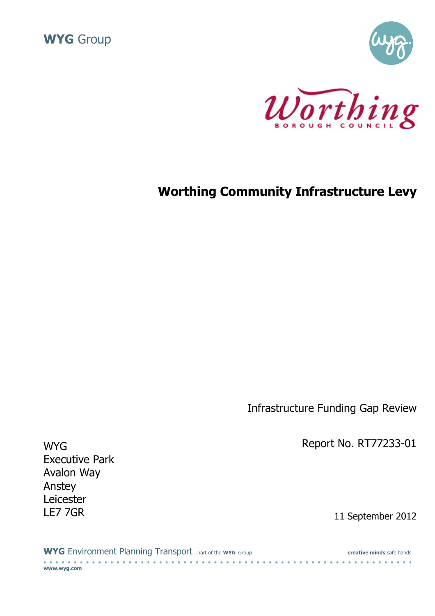





# Worthing Community Infrastructure Levy

Infrastructure Funding Gap Review

WYG **Report No. RT77233-01** 

11 September 2012

| <b>WYG</b> Environment Planning Transport part of the wyg Group | creative minds safe hands |
|-----------------------------------------------------------------|---------------------------|
| www.wyg.com                                                     |                           |

Executive Park Avalon Way Anstey Leicester<br>LE7 7GR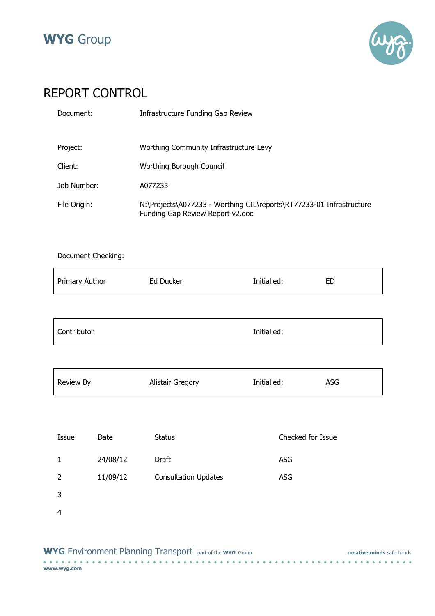



# REPORT CONTROL

| Document:    | Infrastructure Funding Gap Review                                                                        |
|--------------|----------------------------------------------------------------------------------------------------------|
| Project:     | Worthing Community Infrastructure Levy                                                                   |
| Client:      | Worthing Borough Council                                                                                 |
| Job Number:  | A077233                                                                                                  |
| File Origin: | N:\Projects\A077233 - Worthing CIL\reports\RT77233-01 Infrastructure<br>Funding Gap Review Report v2.doc |

### Document Checking:

| <b>Primary Author</b> | Ed Ducker | Initialled: | ED |
|-----------------------|-----------|-------------|----|
|                       |           |             |    |
|                       |           |             |    |

| Contributor | Initialled: |
|-------------|-------------|
|             |             |

| <b>Review By</b> | Alistair Gregory | Initialled: | ASG |
|------------------|------------------|-------------|-----|

| Issue | Date     | <b>Status</b>               | Checked for Issue |
|-------|----------|-----------------------------|-------------------|
| 1     | 24/08/12 | Draft                       | <b>ASG</b>        |
| 2     | 11/09/12 | <b>Consultation Updates</b> | <b>ASG</b>        |
| 3     |          |                             |                   |
| 4     |          |                             |                   |

|  | <b>WYG</b> Environment Planning Transport part of the wyg Group |  |  |  |  |  |  |  |  |  |  |  |  |  |  |  |  |  |  |  |  |  | creative minds safe hands |  |  |  |
|--|-----------------------------------------------------------------|--|--|--|--|--|--|--|--|--|--|--|--|--|--|--|--|--|--|--|--|--|---------------------------|--|--|--|
|  |                                                                 |  |  |  |  |  |  |  |  |  |  |  |  |  |  |  |  |  |  |  |  |  |                           |  |  |  |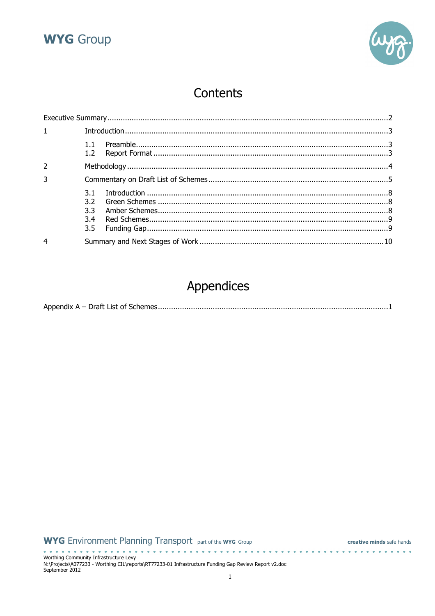



# Contents

| $\mathbf{1}$ |                          |  |
|--------------|--------------------------|--|
|              | 1.2 <sub>2</sub>         |  |
|              |                          |  |
| 3            |                          |  |
|              | 3.1<br>3.2<br>3.3<br>3.4 |  |
| 4            |                          |  |

# Appendices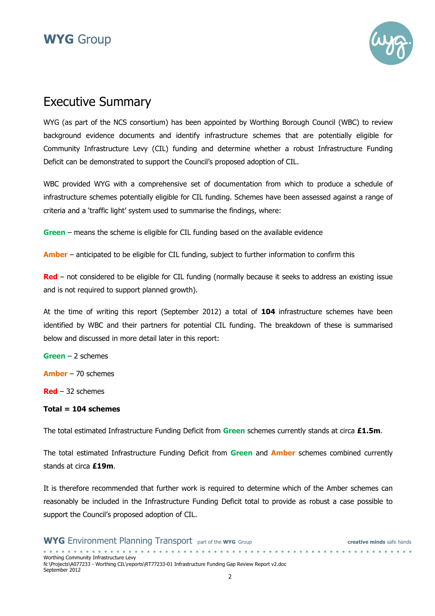



### Executive Summary

WYG (as part of the NCS consortium) has been appointed by Worthing Borough Council (WBC) to review background evidence documents and identify infrastructure schemes that are potentially eligible for Community Infrastructure Levy (CIL) funding and determine whether a robust Infrastructure Funding Deficit can be demonstrated to support the Council's proposed adoption of CIL.

WBC provided WYG with a comprehensive set of documentation from which to produce a schedule of infrastructure schemes potentially eligible for CIL funding. Schemes have been assessed against a range of criteria and a 'traffic light' system used to summarise the findings, where:

Green – means the scheme is eligible for CIL funding based on the available evidence

Amber – anticipated to be eligible for CIL funding, subject to further information to confirm this

 $Red$  – not considered to be eligible for CIL funding (normally because it seeks to address an existing issue and is not required to support planned growth).

At the time of writing this report (September 2012) a total of 104 infrastructure schemes have been identified by WBC and their partners for potential CIL funding. The breakdown of these is summarised below and discussed in more detail later in this report:

Green – 2 schemes

Amber – 70 schemes

 $Red - 32$  schemes

#### $Total = 104$  schemes

The total estimated Infrastructure Funding Deficit from Green schemes currently stands at circa  $£1.5m$ .

The total estimated Infrastructure Funding Deficit from Green and **Amber** schemes combined currently stands at circa £19m.

It is therefore recommended that further work is required to determine which of the Amber schemes can reasonably be included in the Infrastructure Funding Deficit total to provide as robust a case possible to support the Council's proposed adoption of CIL.

| <b>WYG</b> Environment Planning Transport part of the wyg Group                                       | creative minds safe hands |  |
|-------------------------------------------------------------------------------------------------------|---------------------------|--|
|                                                                                                       |                           |  |
| Worthing Community Infrastructure Levy                                                                |                           |  |
| N:\Projects\A077233 - Worthing CIL\reports\RT77233-01 Infrastructure Funding Gap Review Report v2.doc |                           |  |
| September 2012                                                                                        |                           |  |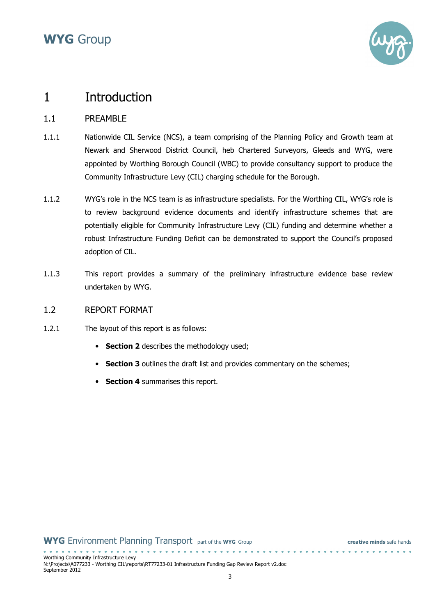

### 1 Introduction

### 1.1 PREAMBLE

- 1.1.1 Nationwide CIL Service (NCS), a team comprising of the Planning Policy and Growth team at Newark and Sherwood District Council, heb Chartered Surveyors, Gleeds and WYG, were appointed by Worthing Borough Council (WBC) to provide consultancy support to produce the Community Infrastructure Levy (CIL) charging schedule for the Borough.
- 1.1.2 WYG's role in the NCS team is as infrastructure specialists. For the Worthing CIL, WYG's role is to review background evidence documents and identify infrastructure schemes that are potentially eligible for Community Infrastructure Levy (CIL) funding and determine whether a robust Infrastructure Funding Deficit can be demonstrated to support the Council's proposed adoption of CIL.
- 1.1.3 This report provides a summary of the preliminary infrastructure evidence base review undertaken by WYG.

#### 1.2 REPORT FORMAT

- 1.2.1 The layout of this report is as follows:
	- Section 2 describes the methodology used;
	- Section 3 outlines the draft list and provides commentary on the schemes;
	- Section 4 summarises this report.

| Worthing Community Infrastructure Levy                                                                |  |
|-------------------------------------------------------------------------------------------------------|--|
| N:\Projects\A077233 - Worthing CIL\reports\RT77233-01 Infrastructure Funding Gap Review Report v2.doc |  |
| September 2012                                                                                        |  |
|                                                                                                       |  |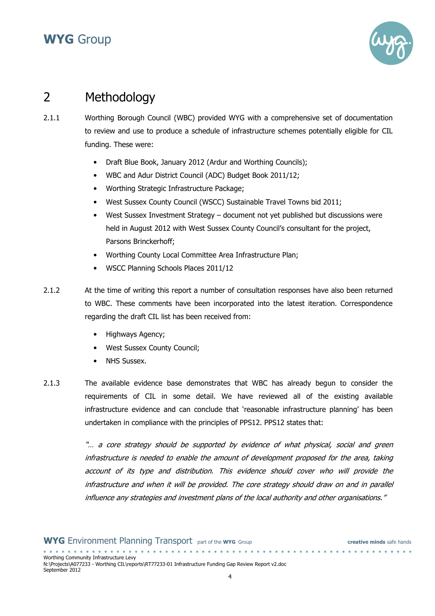

## 2 Methodology

- 2.1.1 Worthing Borough Council (WBC) provided WYG with a comprehensive set of documentation to review and use to produce a schedule of infrastructure schemes potentially eligible for CIL funding. These were:
	- Draft Blue Book, January 2012 (Ardur and Worthing Councils);
	- WBC and Adur District Council (ADC) Budget Book 2011/12;
	- Worthing Strategic Infrastructure Package;
	- West Sussex County Council (WSCC) Sustainable Travel Towns bid 2011;
	- West Sussex Investment Strategy document not yet published but discussions were held in August 2012 with West Sussex County Council's consultant for the project, Parsons Brinckerhoff;
	- Worthing County Local Committee Area Infrastructure Plan;
	- WSCC Planning Schools Places 2011/12
- 2.1.2 At the time of writing this report a number of consultation responses have also been returned to WBC. These comments have been incorporated into the latest iteration. Correspondence regarding the draft CIL list has been received from:
	- Highways Agency;
	- West Sussex County Council;
	- NHS Sussex.
- 2.1.3 The available evidence base demonstrates that WBC has already begun to consider the requirements of CIL in some detail. We have reviewed all of the existing available infrastructure evidence and can conclude that 'reasonable infrastructure planning' has been undertaken in compliance with the principles of PPS12. PPS12 states that:

"… a core strategy should be supported by evidence of what physical, social and green infrastructure is needed to enable the amount of development proposed for the area, taking account of its type and distribution. This evidence should cover who will provide the infrastructure and when it will be provided. The core strategy should draw on and in parallel influence any strategies and investment plans of the local authority and other organisations."

. . . . . . . . . . . . . . . .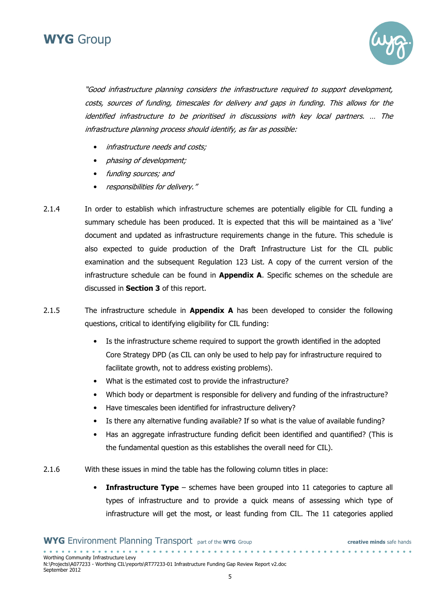



"Good infrastructure planning considers the infrastructure required to support development, costs, sources of funding, timescales for delivery and gaps in funding. This allows for the identified infrastructure to be prioritised in discussions with key local partners. … The infrastructure planning process should identify, as far as possible:

- infrastructure needs and costs;
- phasing of development;
- funding sources; and
- responsibilities for delivery."
- 2.1.4 In order to establish which infrastructure schemes are potentially eligible for CIL funding a summary schedule has been produced. It is expected that this will be maintained as a 'live' document and updated as infrastructure requirements change in the future. This schedule is also expected to guide production of the Draft Infrastructure List for the CIL public examination and the subsequent Regulation 123 List. A copy of the current version of the infrastructure schedule can be found in **Appendix A**. Specific schemes on the schedule are discussed in Section 3 of this report.
- 2.1.5 The infrastructure schedule in **Appendix A** has been developed to consider the following questions, critical to identifying eligibility for CIL funding:
	- Is the infrastructure scheme required to support the growth identified in the adopted Core Strategy DPD (as CIL can only be used to help pay for infrastructure required to facilitate growth, not to address existing problems).
	- What is the estimated cost to provide the infrastructure?
	- Which body or department is responsible for delivery and funding of the infrastructure?
	- Have timescales been identified for infrastructure delivery?
	- Is there any alternative funding available? If so what is the value of available funding?
	- Has an aggregate infrastructure funding deficit been identified and quantified? (This is the fundamental question as this establishes the overall need for CIL).
- 2.1.6 With these issues in mind the table has the following column titles in place:
	- Infrastructure Type schemes have been grouped into 11 categories to capture all types of infrastructure and to provide a quick means of assessing which type of infrastructure will get the most, or least funding from CIL. The 11 categories applied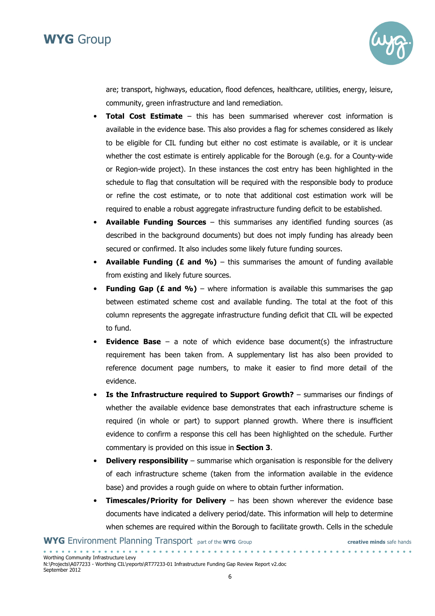

are; transport, highways, education, flood defences, healthcare, utilities, energy, leisure, community, green infrastructure and land remediation.

- **Total Cost Estimate** this has been summarised wherever cost information is available in the evidence base. This also provides a flag for schemes considered as likely to be eligible for CIL funding but either no cost estimate is available, or it is unclear whether the cost estimate is entirely applicable for the Borough (e.g. for a County-wide or Region-wide project). In these instances the cost entry has been highlighted in the schedule to flag that consultation will be required with the responsible body to produce or refine the cost estimate, or to note that additional cost estimation work will be required to enable a robust aggregate infrastructure funding deficit to be established.
- Available Funding Sources this summarises any identified funding sources (as described in the background documents) but does not imply funding has already been secured or confirmed. It also includes some likely future funding sources.
- Available Funding (£ and %) this summarises the amount of funding available from existing and likely future sources.
- Funding Gap (£ and  $\%$ ) where information is available this summarises the gap between estimated scheme cost and available funding. The total at the foot of this column represents the aggregate infrastructure funding deficit that CIL will be expected to fund.
- **Evidence Base** a note of which evidence base document(s) the infrastructure requirement has been taken from. A supplementary list has also been provided to reference document page numbers, to make it easier to find more detail of the evidence.
- Is the Infrastructure required to Support Growth? summarises our findings of whether the available evidence base demonstrates that each infrastructure scheme is required (in whole or part) to support planned growth. Where there is insufficient evidence to confirm a response this cell has been highlighted on the schedule. Further commentary is provided on this issue in Section 3.
- Delivery responsibility  $-$  summarise which organisation is responsible for the delivery of each infrastructure scheme (taken from the information available in the evidence base) and provides a rough guide on where to obtain further information.
- **Timescales/Priority for Delivery** has been shown wherever the evidence base documents have indicated a delivery period/date. This information will help to determine when schemes are required within the Borough to facilitate growth. Cells in the schedule

. . . . . . . . . . . . . . . .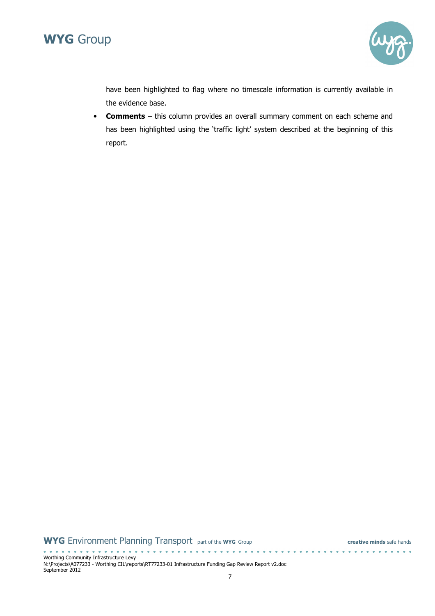



have been highlighted to flag where no timescale information is currently available in the evidence base.

• Comments – this column provides an overall summary comment on each scheme and has been highlighted using the 'traffic light' system described at the beginning of this report.

#### WYG Environment Planning Transport part of the WYG Group creative minds safe hands

Worthing Community Infrastructure Levy N:\Projects\A077233 - Worthing CIL\reports\RT77233-01 Infrastructure Funding Gap Review Report v2.doc September 2012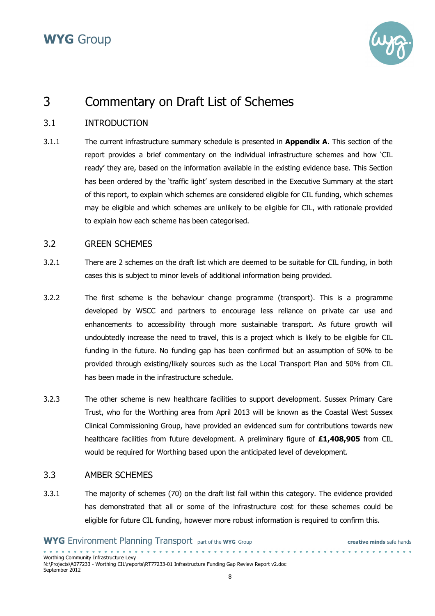

### 3 Commentary on Draft List of Schemes

#### 3.1 INTRODUCTION

3.1.1 The current infrastructure summary schedule is presented in **Appendix A**. This section of the report provides a brief commentary on the individual infrastructure schemes and how 'CIL ready' they are, based on the information available in the existing evidence base. This Section has been ordered by the 'traffic light' system described in the Executive Summary at the start of this report, to explain which schemes are considered eligible for CIL funding, which schemes may be eligible and which schemes are unlikely to be eligible for CIL, with rationale provided to explain how each scheme has been categorised.

#### 3.2 GREEN SCHEMES

- 3.2.1 There are 2 schemes on the draft list which are deemed to be suitable for CIL funding, in both cases this is subject to minor levels of additional information being provided.
- 3.2.2 The first scheme is the behaviour change programme (transport). This is a programme developed by WSCC and partners to encourage less reliance on private car use and enhancements to accessibility through more sustainable transport. As future growth will undoubtedly increase the need to travel, this is a project which is likely to be eligible for CIL funding in the future. No funding gap has been confirmed but an assumption of 50% to be provided through existing/likely sources such as the Local Transport Plan and 50% from CIL has been made in the infrastructure schedule.
- 3.2.3 The other scheme is new healthcare facilities to support development. Sussex Primary Care Trust, who for the Worthing area from April 2013 will be known as the Coastal West Sussex Clinical Commissioning Group, have provided an evidenced sum for contributions towards new healthcare facilities from future development. A preliminary figure of £1,408,905 from CIL would be required for Worthing based upon the anticipated level of development.

#### 3.3 AMBER SCHEMES

Worthing Community Infrastructure Levy

<u>. . . . . . . . . . . . . . . .</u>

September 2012

3.3.1 The majority of schemes (70) on the draft list fall within this category. The evidence provided has demonstrated that all or some of the infrastructure cost for these schemes could be eligible for future CIL funding, however more robust information is required to confirm this.

N:\Projects\A077233 - Worthing CIL\reports\RT77233-01 Infrastructure Funding Gap Review Report v2.doc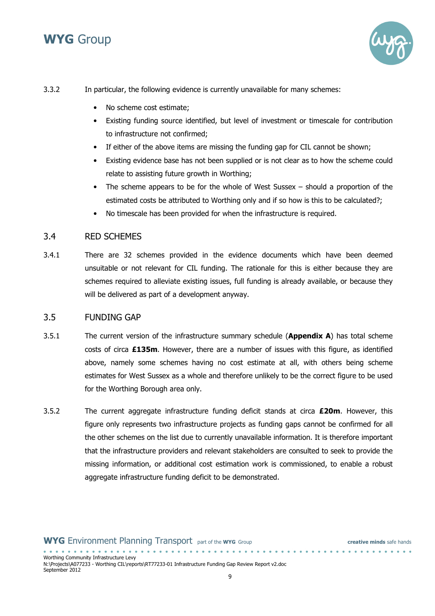

3.3.2 In particular, the following evidence is currently unavailable for many schemes:

- No scheme cost estimate;
- Existing funding source identified, but level of investment or timescale for contribution to infrastructure not confirmed;
- If either of the above items are missing the funding gap for CIL cannot be shown;
- Existing evidence base has not been supplied or is not clear as to how the scheme could relate to assisting future growth in Worthing;
- The scheme appears to be for the whole of West Sussex should a proportion of the estimated costs be attributed to Worthing only and if so how is this to be calculated?;
- No timescale has been provided for when the infrastructure is required.

#### 3.4 RED SCHEMES

3.4.1 There are 32 schemes provided in the evidence documents which have been deemed unsuitable or not relevant for CIL funding. The rationale for this is either because they are schemes required to alleviate existing issues, full funding is already available, or because they will be delivered as part of a development anyway.

#### 3.5 FUNDING GAP

. . . . . . . . . . . . . . . .

- 3.5.1 The current version of the infrastructure summary schedule (**Appendix A**) has total scheme costs of circa £135m. However, there are a number of issues with this figure, as identified above, namely some schemes having no cost estimate at all, with others being scheme estimates for West Sussex as a whole and therefore unlikely to be the correct figure to be used for the Worthing Borough area only.
- 3.5.2 The current aggregate infrastructure funding deficit stands at circa  $E20m$ . However, this figure only represents two infrastructure projects as funding gaps cannot be confirmed for all the other schemes on the list due to currently unavailable information. It is therefore important that the infrastructure providers and relevant stakeholders are consulted to seek to provide the missing information, or additional cost estimation work is commissioned, to enable a robust aggregate infrastructure funding deficit to be demonstrated.

Worthing Community Infrastructure Levy N:\Projects\A077233 - Worthing CIL\reports\RT77233-01 Infrastructure Funding Gap Review Report v2.doc September 2012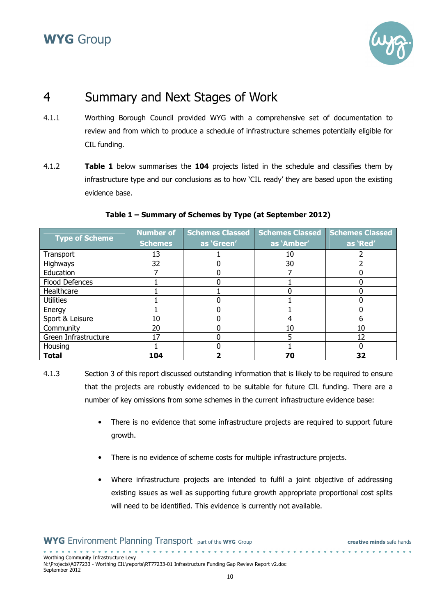

### 4 Summary and Next Stages of Work

- 4.1.1 Worthing Borough Council provided WYG with a comprehensive set of documentation to review and from which to produce a schedule of infrastructure schemes potentially eligible for CIL funding.
- 4.1.2 **Table 1** below summarises the **104** projects listed in the schedule and classifies them by infrastructure type and our conclusions as to how 'CIL ready' they are based upon the existing evidence base.

|                       | <b>Number of</b> | <b>Schemes Classed</b> | <b>Schemes Classed</b> | <b>Schemes Classed</b> |
|-----------------------|------------------|------------------------|------------------------|------------------------|
| <b>Type of Scheme</b> | <b>Schemes</b>   | as 'Green'             | as 'Amber'             | as 'Red'               |
| Transport             | 13               |                        | 10                     |                        |
| <b>Highways</b>       | 32               |                        | 30                     |                        |
| Education             |                  |                        |                        |                        |
| Flood Defences        |                  |                        |                        |                        |
| Healthcare            |                  |                        |                        |                        |
| <b>Utilities</b>      |                  |                        |                        |                        |
| Energy                |                  |                        |                        |                        |
| Sport & Leisure       | 10               |                        |                        |                        |
| Community             | 20               |                        | 10                     | 10                     |
| Green Infrastructure  | 17               |                        | 5                      | 12                     |
| Housing               |                  |                        |                        |                        |
| <b>Total</b>          | 104              |                        | 70                     | 32                     |

#### Table 1 – Summary of Schemes by Type (at September 2012)

- 4.1.3 Section 3 of this report discussed outstanding information that is likely to be required to ensure that the projects are robustly evidenced to be suitable for future CIL funding. There are a number of key omissions from some schemes in the current infrastructure evidence base:
	- There is no evidence that some infrastructure projects are required to support future growth.
	- There is no evidence of scheme costs for multiple infrastructure projects.
	- Where infrastructure projects are intended to fulfil a joint objective of addressing existing issues as well as supporting future growth appropriate proportional cost splits will need to be identified. This evidence is currently not available.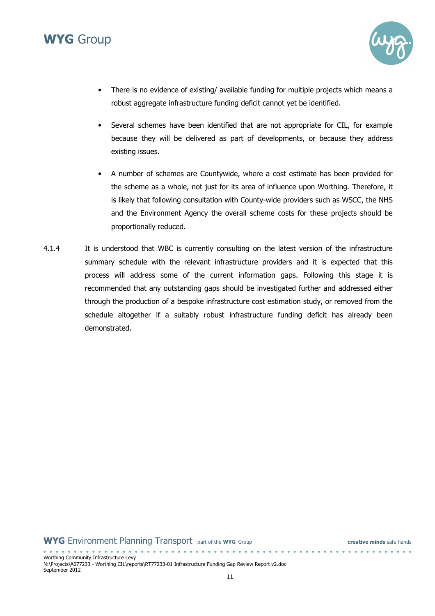

- There is no evidence of existing/ available funding for multiple projects which means a robust aggregate infrastructure funding deficit cannot yet be identified.
- Several schemes have been identified that are not appropriate for CIL, for example because they will be delivered as part of developments, or because they address existing issues.
- A number of schemes are Countywide, where a cost estimate has been provided for the scheme as a whole, not just for its area of influence upon Worthing. Therefore, it is likely that following consultation with County-wide providers such as WSCC, the NHS and the Environment Agency the overall scheme costs for these projects should be proportionally reduced.
- 4.1.4 It is understood that WBC is currently consulting on the latest version of the infrastructure summary schedule with the relevant infrastructure providers and it is expected that this process will address some of the current information gaps. Following this stage it is recommended that any outstanding gaps should be investigated further and addressed either through the production of a bespoke infrastructure cost estimation study, or removed from the schedule altogether if a suitably robust infrastructure funding deficit has already been demonstrated.

. **. . . . . . . . . . . . . . .** .

Worthing Community Infrastructure Levy N:\Projects\A077233 - Worthing CIL\reports\RT77233-01 Infrastructure Funding Gap Review Report v2.doc September 2012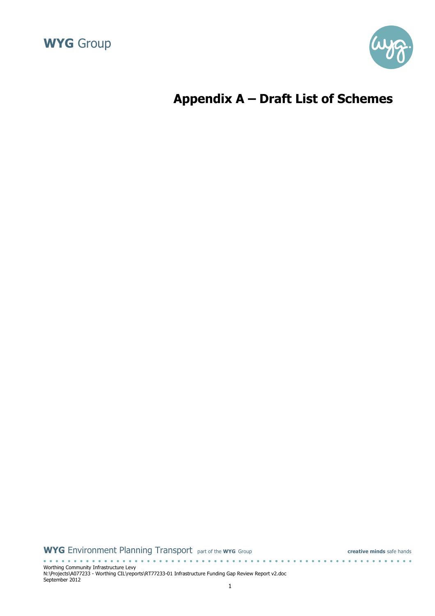



# Appendix A – Draft List of Schemes

WYG Environment Planning Transport part of the WYG Group creative minds safe hands